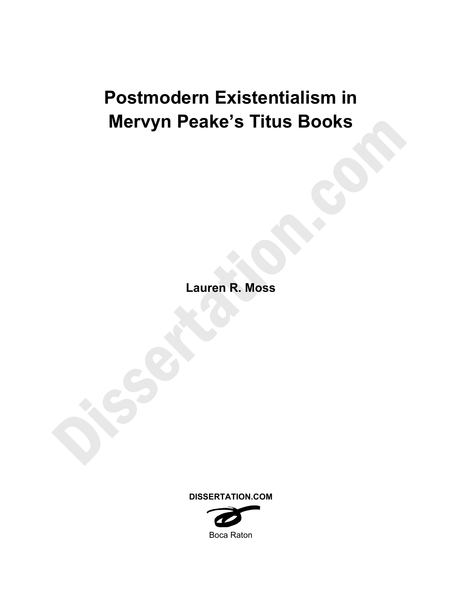# **Postmodern Existentialism in Mervyn Peake's Titus Books**

**Lauren R. Moss** 

**DISSERTATION.COM** 

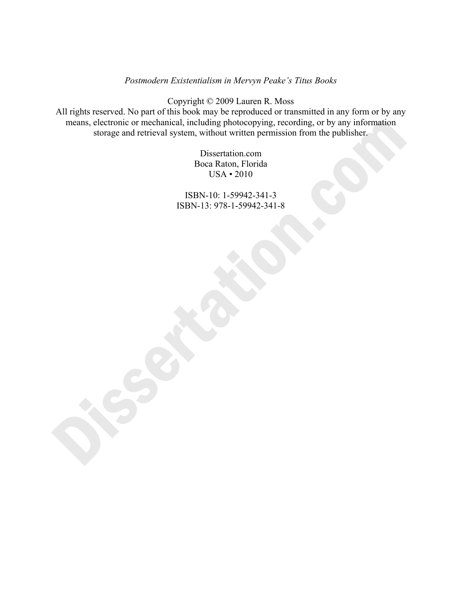## *Postmodern Existentialism in Mervyn Peake's Titus Books*

Copyright © 2009 Lauren R. Moss

All rights reserved. No part of this book may be reproduced or transmitted in any form or by any means, electronic or mechanical, including photocopying, recording, or by any information storage and retrieval system, without written permission from the publisher.

> Dissertation.com Boca Raton, Florida USA • 2010

ISBN-10: 1-59942-341-3 ISBN-13: 978-1-59942-341-8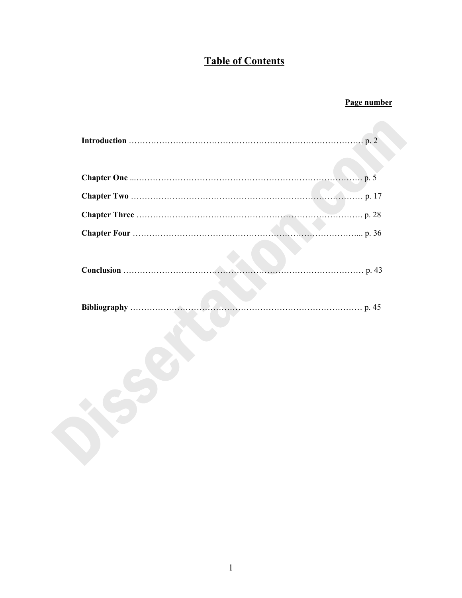## **Table of Contents**

## **Page number**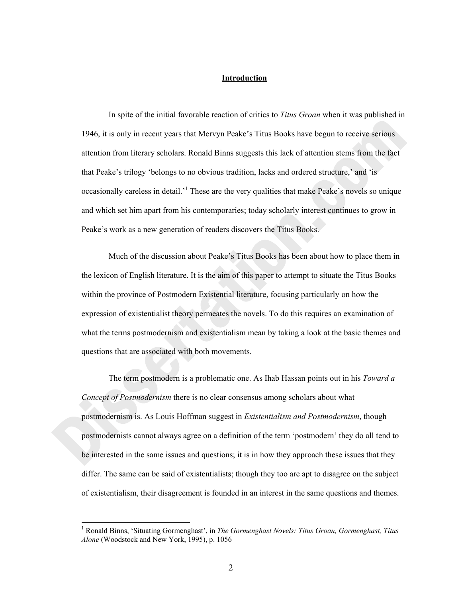#### **Introduction**

In spite of the initial favorable reaction of critics to *Titus Groan* when it was published in 1946, it is only in recent years that Mervyn Peake's Titus Books have begun to receive serious attention from literary scholars. Ronald Binns suggests this lack of attention stems from the fact that Peake's trilogy 'belongs to no obvious tradition, lacks and ordered structure,' and 'is occasionally careless in detail.<sup>1</sup> These are the very qualities that make Peake's novels so unique and which set him apart from his contemporaries; today scholarly interest continues to grow in Peake's work as a new generation of readers discovers the Titus Books.

 Much of the discussion about Peake's Titus Books has been about how to place them in the lexicon of English literature. It is the aim of this paper to attempt to situate the Titus Books within the province of Postmodern Existential literature, focusing particularly on how the expression of existentialist theory permeates the novels. To do this requires an examination of what the terms postmodernism and existentialism mean by taking a look at the basic themes and questions that are associated with both movements.

 The term postmodern is a problematic one. As Ihab Hassan points out in his *Toward a Concept of Postmodernism* there is no clear consensus among scholars about what postmodernism is. As Louis Hoffman suggest in *Existentialism and Postmodernism*, though postmodernists cannot always agree on a definition of the term 'postmodern' they do all tend to be interested in the same issues and questions; it is in how they approach these issues that they differ. The same can be said of existentialists; though they too are apt to disagree on the subject of existentialism, their disagreement is founded in an interest in the same questions and themes.

<sup>&</sup>lt;sup>1</sup> Ronald Binns, 'Situating Gormenghast', in *The Gormenghast Novels: Titus Groan, Gormenghast, Titus Alone* (Woodstock and New York, 1995), p. 1056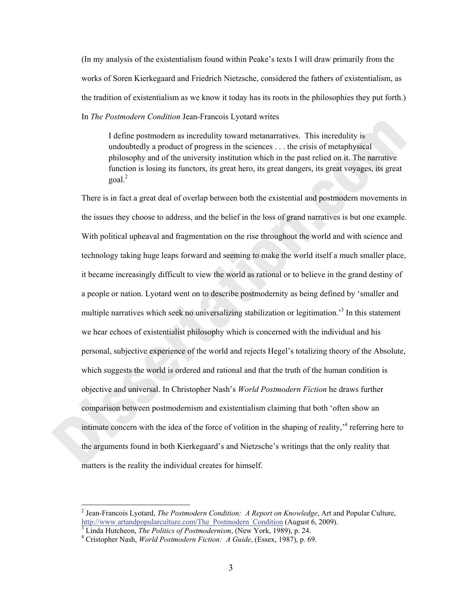(In my analysis of the existentialism found within Peake's texts I will draw primarily from the works of Soren Kierkegaard and Friedrich Nietzsche, considered the fathers of existentialism, as the tradition of existentialism as we know it today has its roots in the philosophies they put forth.) In *The Postmodern Condition* Jean-Francois Lyotard writes

I define postmodern as incredulity toward metanarratives. This incredulity is undoubtedly a product of progress in the sciences . . . the crisis of metaphysical philosophy and of the university institution which in the past relied on it. The narrative function is losing its functors, its great hero, its great dangers, its great voyages, its great goal.<sup>2</sup>

There is in fact a great deal of overlap between both the existential and postmodern movements in the issues they choose to address, and the belief in the loss of grand narratives is but one example. With political upheaval and fragmentation on the rise throughout the world and with science and technology taking huge leaps forward and seeming to make the world itself a much smaller place, it became increasingly difficult to view the world as rational or to believe in the grand destiny of a people or nation. Lyotard went on to describe postmodernity as being defined by 'smaller and multiple narratives which seek no universalizing stabilization or legitimation.<sup>3</sup> In this statement we hear echoes of existentialist philosophy which is concerned with the individual and his personal, subjective experience of the world and rejects Hegel's totalizing theory of the Absolute, which suggests the world is ordered and rational and that the truth of the human condition is objective and universal. In Christopher Nash's *World Postmodern Fiction* he draws further comparison between postmodernism and existentialism claiming that both 'often show an intimate concern with the idea of the force of volition in the shaping of reality, $\cdot$ <sup>4</sup> referring here to the arguments found in both Kierkegaard's and Nietzsche's writings that the only reality that matters is the reality the individual creates for himself.

<sup>2</sup> Jean-Francois Lyotard, *The Postmodern Condition: A Report on Knowledge*, Art and Popular Culture, http://www.artandpopularculture.com/The\_Postmodern\_Condition (August 6, 2009).

 $\frac{1}{3}$  Linda Hutcheon, *The Politics of Postmodernism*, (New York, 1989), p. 24.

Cristopher Nash, *World Postmodern Fiction: A Guide*, (Essex, 1987), p. 69.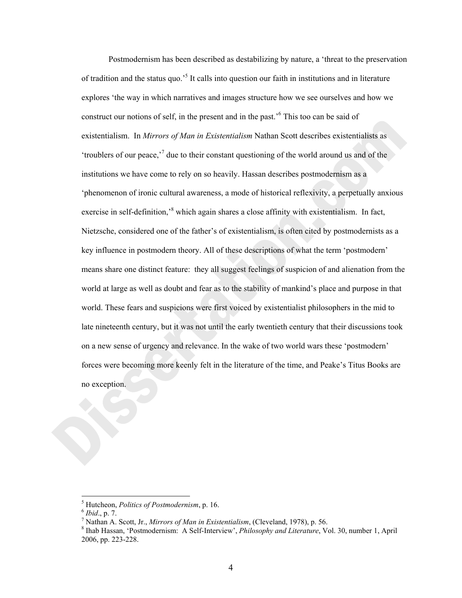Postmodernism has been described as destabilizing by nature, a 'threat to the preservation of tradition and the status quo.<sup>5</sup> It calls into question our faith in institutions and in literature explores 'the way in which narratives and images structure how we see ourselves and how we construct our notions of self, in the present and in the past.'<sup>6</sup> This too can be said of existentialism. In *Mirrors of Man in Existentialism* Nathan Scott describes existentialists as 'troublers of our peace,'<sup>7</sup> due to their constant questioning of the world around us and of the institutions we have come to rely on so heavily. Hassan describes postmodernism as a 'phenomenon of ironic cultural awareness, a mode of historical reflexivity, a perpetually anxious exercise in self-definition,<sup>8</sup> which again shares a close affinity with existentialism. In fact, Nietzsche, considered one of the father's of existentialism, is often cited by postmodernists as a key influence in postmodern theory. All of these descriptions of what the term 'postmodern' means share one distinct feature: they all suggest feelings of suspicion of and alienation from the world at large as well as doubt and fear as to the stability of mankind's place and purpose in that world. These fears and suspicions were first voiced by existentialist philosophers in the mid to late nineteenth century, but it was not until the early twentieth century that their discussions took on a new sense of urgency and relevance. In the wake of two world wars these 'postmodern' forces were becoming more keenly felt in the literature of the time, and Peake's Titus Books are no exception.

<sup>&</sup>lt;sup>5</sup> Hutcheon, *Politics of Postmodernism*, p. 16.<br><sup>6</sup> *Ibid.*, p. 7.<br><sup>7</sup> Nothen A. Seett. In Minuous of Man in Exist

 $^7$  Nathan A. Scott, Jr., *Mirrors of Man in Existentialism*, (Cleveland, 1978), p. 56.

<sup>&</sup>lt;sup>8</sup> Ihab Hassan, 'Postmodernism: A Self-Interview', *Philosophy and Literature*, Vol. 30, number 1, April 2006, pp. 223-228.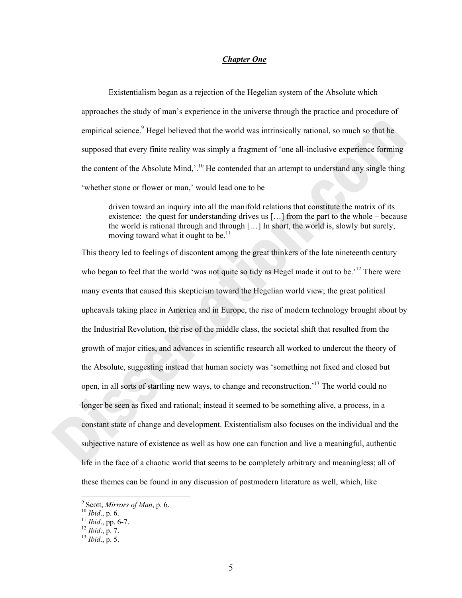### *Chapter One*

Existentialism began as a rejection of the Hegelian system of the Absolute which approaches the study of man's experience in the universe through the practice and procedure of empirical science.<sup>9</sup> Hegel believed that the world was intrinsically rational, so much so that he supposed that every finite reality was simply a fragment of 'one all-inclusive experience forming the content of the Absolute Mind,'.<sup>10</sup> He contended that an attempt to understand any single thing 'whether stone or flower or man,' would lead one to be

driven toward an inquiry into all the manifold relations that constitute the matrix of its existence: the quest for understanding drives us […] from the part to the whole – because the world is rational through and through […] In short, the world is, slowly but surely, moving toward what it ought to be.<sup>11</sup>

This theory led to feelings of discontent among the great thinkers of the late nineteenth century who began to feel that the world 'was not quite so tidy as Hegel made it out to be.<sup>'12</sup> There were many events that caused this skepticism toward the Hegelian world view; the great political upheavals taking place in America and in Europe, the rise of modern technology brought about by the Industrial Revolution, the rise of the middle class, the societal shift that resulted from the growth of major cities, and advances in scientific research all worked to undercut the theory of the Absolute, suggesting instead that human society was 'something not fixed and closed but open, in all sorts of startling new ways, to change and reconstruction.'13 The world could no longer be seen as fixed and rational; instead it seemed to be something alive, a process, in a constant state of change and development. Existentialism also focuses on the individual and the subjective nature of existence as well as how one can function and live a meaningful, authentic life in the face of a chaotic world that seems to be completely arbitrary and meaningless; all of these themes can be found in any discussion of postmodern literature as well, which, like

<sup>&</sup>lt;sup>9</sup> Scott, *Mirrors of Man*, p. 6.<br><sup>10</sup> *Ibid.*, p. 6.<br><sup>11</sup> *Ibid.*, pp. 6-7.<br><sup>12</sup> *Ibid.*, p. 7.<br><sup>13</sup> *Ibid.*, p. 5.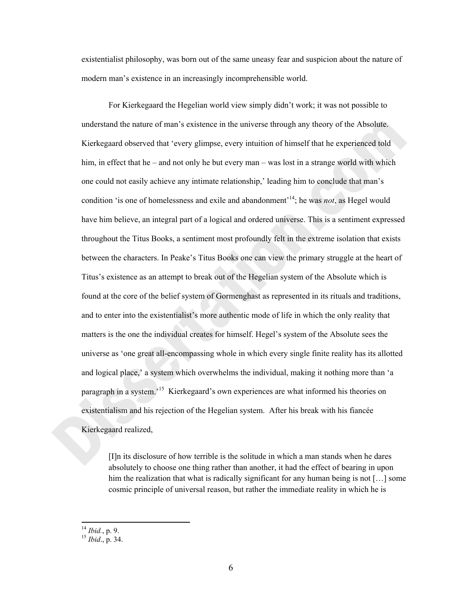existentialist philosophy, was born out of the same uneasy fear and suspicion about the nature of modern man's existence in an increasingly incomprehensible world.

For Kierkegaard the Hegelian world view simply didn't work; it was not possible to understand the nature of man's existence in the universe through any theory of the Absolute. Kierkegaard observed that 'every glimpse, every intuition of himself that he experienced told him, in effect that he – and not only he but every man – was lost in a strange world with which one could not easily achieve any intimate relationship,' leading him to conclude that man's condition 'is one of homelessness and exile and abandonment'14; he was *not*, as Hegel would have him believe, an integral part of a logical and ordered universe. This is a sentiment expressed throughout the Titus Books, a sentiment most profoundly felt in the extreme isolation that exists between the characters. In Peake's Titus Books one can view the primary struggle at the heart of Titus's existence as an attempt to break out of the Hegelian system of the Absolute which is found at the core of the belief system of Gormenghast as represented in its rituals and traditions, and to enter into the existentialist's more authentic mode of life in which the only reality that matters is the one the individual creates for himself. Hegel's system of the Absolute sees the universe as 'one great all-encompassing whole in which every single finite reality has its allotted and logical place,' a system which overwhelms the individual, making it nothing more than 'a paragraph in a system.'15 Kierkegaard's own experiences are what informed his theories on existentialism and his rejection of the Hegelian system. After his break with his fiancée Kierkegaard realized,

[I]n its disclosure of how terrible is the solitude in which a man stands when he dares absolutely to choose one thing rather than another, it had the effect of bearing in upon him the realization that what is radically significant for any human being is not [...] some cosmic principle of universal reason, but rather the immediate reality in which he is

<sup>14</sup> *Ibid.*, p. 9. 15 *Ibid*., p. 34.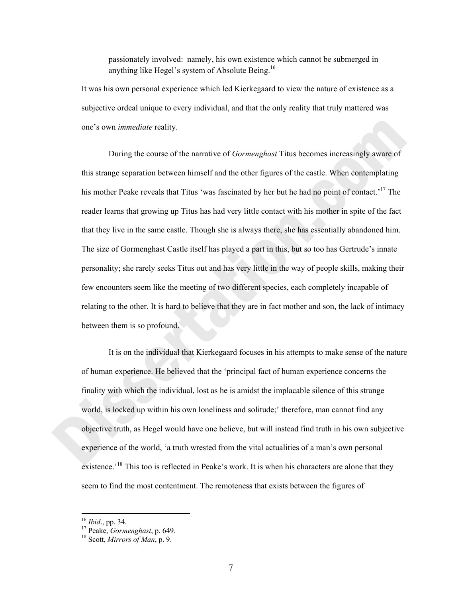passionately involved: namely, his own existence which cannot be submerged in anything like Hegel's system of Absolute Being.<sup>16</sup>

It was his own personal experience which led Kierkegaard to view the nature of existence as a subjective ordeal unique to every individual, and that the only reality that truly mattered was one's own *immediate* reality.

During the course of the narrative of *Gormenghast* Titus becomes increasingly aware of this strange separation between himself and the other figures of the castle. When contemplating his mother Peake reveals that Titus 'was fascinated by her but he had no point of contact.<sup>17</sup> The reader learns that growing up Titus has had very little contact with his mother in spite of the fact that they live in the same castle. Though she is always there, she has essentially abandoned him. The size of Gormenghast Castle itself has played a part in this, but so too has Gertrude's innate personality; she rarely seeks Titus out and has very little in the way of people skills, making their few encounters seem like the meeting of two different species, each completely incapable of relating to the other. It is hard to believe that they are in fact mother and son, the lack of intimacy between them is so profound.

It is on the individual that Kierkegaard focuses in his attempts to make sense of the nature of human experience. He believed that the 'principal fact of human experience concerns the finality with which the individual, lost as he is amidst the implacable silence of this strange world, is locked up within his own loneliness and solitude;' therefore, man cannot find any objective truth, as Hegel would have one believe, but will instead find truth in his own subjective experience of the world, 'a truth wrested from the vital actualities of a man's own personal existence.<sup>18</sup> This too is reflected in Peake's work. It is when his characters are alone that they seem to find the most contentment. The remoteness that exists between the figures of

<sup>16</sup> *Ibid*., pp. 34. 17 Peake, *Gormenghast*, p. 649. 18 Scott, *Mirrors of Man*, p. 9.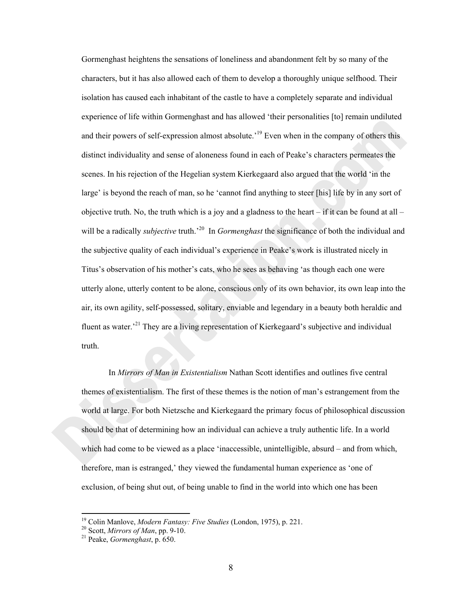Gormenghast heightens the sensations of loneliness and abandonment felt by so many of the characters, but it has also allowed each of them to develop a thoroughly unique selfhood. Their isolation has caused each inhabitant of the castle to have a completely separate and individual experience of life within Gormenghast and has allowed 'their personalities [to] remain undiluted and their powers of self-expression almost absolute.<sup>19</sup> Even when in the company of others this distinct individuality and sense of aloneness found in each of Peake's characters permeates the scenes. In his rejection of the Hegelian system Kierkegaard also argued that the world 'in the large' is beyond the reach of man, so he 'cannot find anything to steer [his] life by in any sort of objective truth. No, the truth which is a joy and a gladness to the heart – if it can be found at all – will be a radically *subjective* truth.<sup>20</sup> In *Gormenghast* the significance of both the individual and the subjective quality of each individual's experience in Peake's work is illustrated nicely in Titus's observation of his mother's cats, who he sees as behaving 'as though each one were utterly alone, utterly content to be alone, conscious only of its own behavior, its own leap into the air, its own agility, self-possessed, solitary, enviable and legendary in a beauty both heraldic and fluent as water.<sup>21</sup> They are a living representation of Kierkegaard's subjective and individual truth.

In *Mirrors of Man in Existentialism* Nathan Scott identifies and outlines five central themes of existentialism. The first of these themes is the notion of man's estrangement from the world at large. For both Nietzsche and Kierkegaard the primary focus of philosophical discussion should be that of determining how an individual can achieve a truly authentic life. In a world which had come to be viewed as a place 'inaccessible, unintelligible, absurd – and from which, therefore, man is estranged,' they viewed the fundamental human experience as 'one of exclusion, of being shut out, of being unable to find in the world into which one has been

<sup>&</sup>lt;sup>19</sup> Colin Manlove, *Modern Fantasy: Five Studies* (London, 1975), p. 221.<br><sup>20</sup> Scott, *Mirrors of Man*, pp. 9-10.<br><sup>21</sup> Peake, *Gormenghast*, p. 650.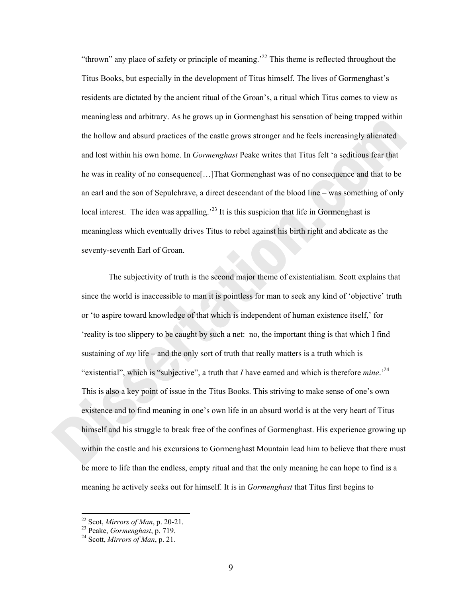"thrown" any place of safety or principle of meaning.<sup>22</sup> This theme is reflected throughout the Titus Books, but especially in the development of Titus himself. The lives of Gormenghast's residents are dictated by the ancient ritual of the Groan's, a ritual which Titus comes to view as meaningless and arbitrary. As he grows up in Gormenghast his sensation of being trapped within the hollow and absurd practices of the castle grows stronger and he feels increasingly alienated and lost within his own home. In *Gormenghast* Peake writes that Titus felt 'a seditious fear that he was in reality of no consequence[…]That Gormenghast was of no consequence and that to be an earl and the son of Sepulchrave, a direct descendant of the blood line – was something of only local interest. The idea was appalling.<sup>23</sup> It is this suspicion that life in Gormenghast is meaningless which eventually drives Titus to rebel against his birth right and abdicate as the seventy-seventh Earl of Groan.

 The subjectivity of truth is the second major theme of existentialism. Scott explains that since the world is inaccessible to man it is pointless for man to seek any kind of 'objective' truth or 'to aspire toward knowledge of that which is independent of human existence itself,' for 'reality is too slippery to be caught by such a net: no, the important thing is that which I find sustaining of *my* life – and the only sort of truth that really matters is a truth which is "existential", which is "subjective", a truth that *I* have earned and which is therefore *mine*.'24 This is also a key point of issue in the Titus Books. This striving to make sense of one's own existence and to find meaning in one's own life in an absurd world is at the very heart of Titus himself and his struggle to break free of the confines of Gormenghast. His experience growing up within the castle and his excursions to Gormenghast Mountain lead him to believe that there must be more to life than the endless, empty ritual and that the only meaning he can hope to find is a meaning he actively seeks out for himself. It is in *Gormenghast* that Titus first begins to

 $^{22}$  Scot, Mirrors of Man, p. 20-21.

<sup>&</sup>lt;sup>23</sup> Peake, *Gormenghast*, p. 719.<br><sup>24</sup> Scott, *Mirrors of Man*, p. 21.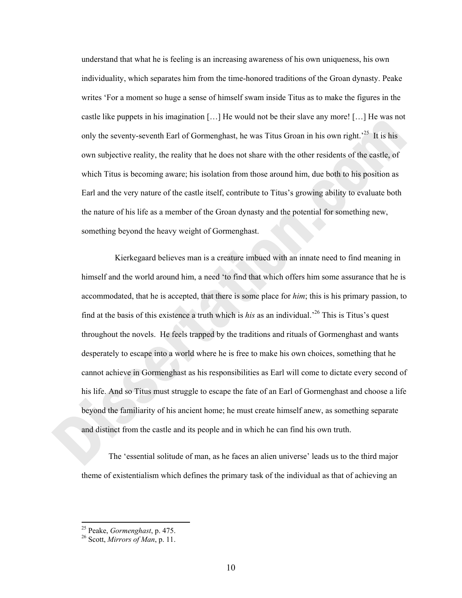understand that what he is feeling is an increasing awareness of his own uniqueness, his own individuality, which separates him from the time-honored traditions of the Groan dynasty. Peake writes 'For a moment so huge a sense of himself swam inside Titus as to make the figures in the castle like puppets in his imagination […] He would not be their slave any more! […] He was not only the seventy-seventh Earl of Gormenghast, he was Titus Groan in his own right.<sup>25</sup> It is his own subjective reality, the reality that he does not share with the other residents of the castle, of which Titus is becoming aware; his isolation from those around him, due both to his position as Earl and the very nature of the castle itself, contribute to Titus's growing ability to evaluate both the nature of his life as a member of the Groan dynasty and the potential for something new, something beyond the heavy weight of Gormenghast.

 Kierkegaard believes man is a creature imbued with an innate need to find meaning in himself and the world around him, a need 'to find that which offers him some assurance that he is accommodated, that he is accepted, that there is some place for *him*; this is his primary passion, to find at the basis of this existence a truth which is *his* as an individual.'26 This is Titus's quest throughout the novels. He feels trapped by the traditions and rituals of Gormenghast and wants desperately to escape into a world where he is free to make his own choices, something that he cannot achieve in Gormenghast as his responsibilities as Earl will come to dictate every second of his life. And so Titus must struggle to escape the fate of an Earl of Gormenghast and choose a life beyond the familiarity of his ancient home; he must create himself anew, as something separate and distinct from the castle and its people and in which he can find his own truth.

The 'essential solitude of man, as he faces an alien universe' leads us to the third major theme of existentialism which defines the primary task of the individual as that of achieving an

<sup>25</sup> Peake, *Gormenghast*, p. 475. 26 Scott, *Mirrors of Man*, p. 11.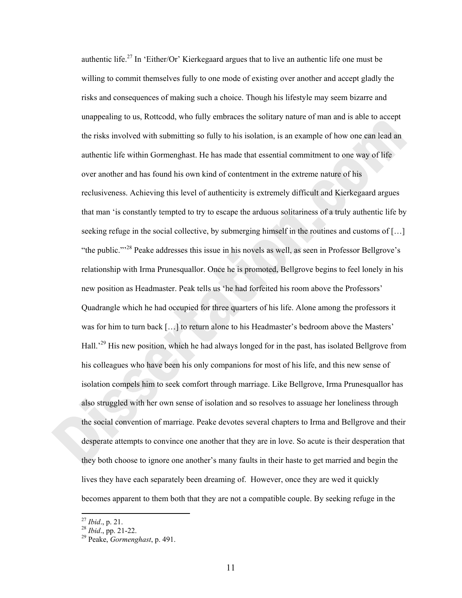authentic life.<sup>27</sup> In 'Either/Or' Kierkegaard argues that to live an authentic life one must be willing to commit themselves fully to one mode of existing over another and accept gladly the risks and consequences of making such a choice. Though his lifestyle may seem bizarre and unappealing to us, Rottcodd, who fully embraces the solitary nature of man and is able to accept the risks involved with submitting so fully to his isolation, is an example of how one can lead an authentic life within Gormenghast. He has made that essential commitment to one way of life over another and has found his own kind of contentment in the extreme nature of his reclusiveness. Achieving this level of authenticity is extremely difficult and Kierkegaard argues that man 'is constantly tempted to try to escape the arduous solitariness of a truly authentic life by seeking refuge in the social collective, by submerging himself in the routines and customs of […] "the public."<sup>28</sup> Peake addresses this issue in his novels as well, as seen in Professor Bellgrove's relationship with Irma Prunesquallor. Once he is promoted, Bellgrove begins to feel lonely in his new position as Headmaster. Peak tells us 'he had forfeited his room above the Professors' Quadrangle which he had occupied for three quarters of his life. Alone among the professors it was for him to turn back […] to return alone to his Headmaster's bedroom above the Masters' Hall.'29 His new position, which he had always longed for in the past, has isolated Bellgrove from his colleagues who have been his only companions for most of his life, and this new sense of isolation compels him to seek comfort through marriage. Like Bellgrove, Irma Prunesquallor has also struggled with her own sense of isolation and so resolves to assuage her loneliness through the social convention of marriage. Peake devotes several chapters to Irma and Bellgrove and their desperate attempts to convince one another that they are in love. So acute is their desperation that they both choose to ignore one another's many faults in their haste to get married and begin the lives they have each separately been dreaming of. However, once they are wed it quickly becomes apparent to them both that they are not a compatible couple. By seeking refuge in the

<sup>&</sup>lt;sup>27</sup> *Ibid.*, p. 21.<br><sup>28</sup> *Ibid.*, pp. 21-22.<br><sup>29</sup> Peake, *Gormenghast*, p. 491.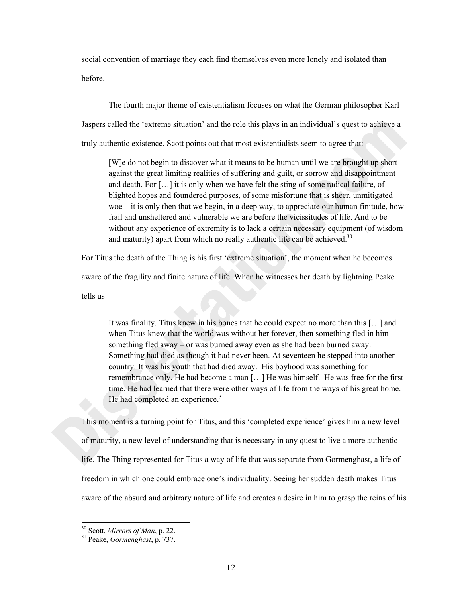social convention of marriage they each find themselves even more lonely and isolated than before.

The fourth major theme of existentialism focuses on what the German philosopher Karl Jaspers called the 'extreme situation' and the role this plays in an individual's quest to achieve a truly authentic existence. Scott points out that most existentialists seem to agree that:

[W]e do not begin to discover what it means to be human until we are brought up short against the great limiting realities of suffering and guilt, or sorrow and disappointment and death. For […] it is only when we have felt the sting of some radical failure, of blighted hopes and foundered purposes, of some misfortune that is sheer, unmitigated woe – it is only then that we begin, in a deep way, to appreciate our human finitude, how frail and unsheltered and vulnerable we are before the vicissitudes of life. And to be without any experience of extremity is to lack a certain necessary equipment (of wisdom and maturity) apart from which no really authentic life can be achieved.<sup>30</sup>

For Titus the death of the Thing is his first 'extreme situation', the moment when he becomes aware of the fragility and finite nature of life. When he witnesses her death by lightning Peake tells us

It was finality. Titus knew in his bones that he could expect no more than this […] and when Titus knew that the world was without her forever, then something fled in him – something fled away – or was burned away even as she had been burned away. Something had died as though it had never been. At seventeen he stepped into another country. It was his youth that had died away. His boyhood was something for remembrance only. He had become a man […] He was himself. He was free for the first time. He had learned that there were other ways of life from the ways of his great home. He had completed an experience.<sup>31</sup>

This moment is a turning point for Titus, and this 'completed experience' gives him a new level of maturity, a new level of understanding that is necessary in any quest to live a more authentic life. The Thing represented for Titus a way of life that was separate from Gormenghast, a life of freedom in which one could embrace one's individuality. Seeing her sudden death makes Titus aware of the absurd and arbitrary nature of life and creates a desire in him to grasp the reins of his

<sup>30</sup> Scott, *Mirrors of Man*, p. 22. 31 Peake, *Gormenghast*, p. 737.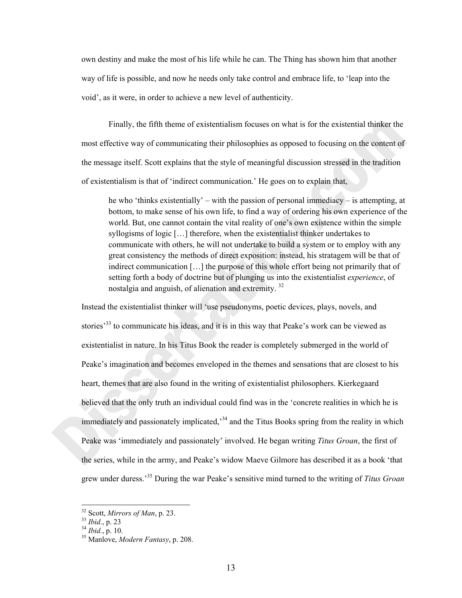own destiny and make the most of his life while he can. The Thing has shown him that another way of life is possible, and now he needs only take control and embrace life, to 'leap into the void', as it were, in order to achieve a new level of authenticity.

 Finally, the fifth theme of existentialism focuses on what is for the existential thinker the most effective way of communicating their philosophies as opposed to focusing on the content of the message itself. Scott explains that the style of meaningful discussion stressed in the tradition of existentialism is that of 'indirect communication.' He goes on to explain that,

he who 'thinks existentially' – with the passion of personal immediacy – is attempting, at bottom, to make sense of his own life, to find a way of ordering his own experience of the world. But, one cannot contain the vital reality of one's own existence within the simple syllogisms of logic […] therefore, when the existentialist thinker undertakes to communicate with others, he will not undertake to build a system or to employ with any great consistency the methods of direct exposition: instead, his stratagem will be that of indirect communication […] the purpose of this whole effort being not primarily that of setting forth a body of doctrine but of plunging us into the existentialist *experience*, of nostalgia and anguish, of alienation and extremity. 32

Instead the existentialist thinker will 'use pseudonyms, poetic devices, plays, novels, and stories<sup>333</sup> to communicate his ideas, and it is in this way that Peake's work can be viewed as existentialist in nature. In his Titus Book the reader is completely submerged in the world of Peake's imagination and becomes enveloped in the themes and sensations that are closest to his heart, themes that are also found in the writing of existentialist philosophers. Kierkegaard believed that the only truth an individual could find was in the 'concrete realities in which he is immediately and passionately implicated,<sup>34</sup> and the Titus Books spring from the reality in which Peake was 'immediately and passionately' involved. He began writing *Titus Groan*, the first of the series, while in the army, and Peake's widow Maeve Gilmore has described it as a book 'that grew under duress.'35 During the war Peake's sensitive mind turned to the writing of *Titus Groan*

 $32$  Scott, *Mirrors of Man*, p. 23.

<sup>32</sup> Scott, *Mirrors of Man*, p. 23. <sup>33</sup> *Ibid*., p. 23 34 *Ibid.*, p. 10. 35 Manlove, *Modern Fantasy*, p. 208.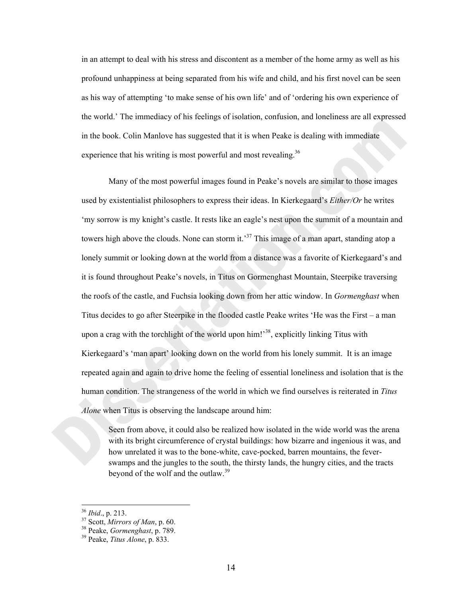in an attempt to deal with his stress and discontent as a member of the home army as well as his profound unhappiness at being separated from his wife and child, and his first novel can be seen as his way of attempting 'to make sense of his own life' and of 'ordering his own experience of the world.' The immediacy of his feelings of isolation, confusion, and loneliness are all expressed in the book. Colin Manlove has suggested that it is when Peake is dealing with immediate experience that his writing is most powerful and most revealing.<sup>36</sup>

Many of the most powerful images found in Peake's novels are similar to those images used by existentialist philosophers to express their ideas. In Kierkegaard's *Either/Or* he writes 'my sorrow is my knight's castle. It rests like an eagle's nest upon the summit of a mountain and towers high above the clouds. None can storm it.<sup>37</sup> This image of a man apart, standing atop a lonely summit or looking down at the world from a distance was a favorite of Kierkegaard's and it is found throughout Peake's novels, in Titus on Gormenghast Mountain, Steerpike traversing the roofs of the castle, and Fuchsia looking down from her attic window. In *Gormenghast* when Titus decides to go after Steerpike in the flooded castle Peake writes 'He was the First – a man upon a crag with the torchlight of the world upon  $\text{him!}^{38}$ , explicitly linking Titus with Kierkegaard's 'man apart' looking down on the world from his lonely summit. It is an image repeated again and again to drive home the feeling of essential loneliness and isolation that is the human condition. The strangeness of the world in which we find ourselves is reiterated in *Titus Alone* when Titus is observing the landscape around him:

Seen from above, it could also be realized how isolated in the wide world was the arena with its bright circumference of crystal buildings: how bizarre and ingenious it was, and how unrelated it was to the bone-white, cave-pocked, barren mountains, the feverswamps and the jungles to the south, the thirsty lands, the hungry cities, and the tracts beyond of the wolf and the outlaw.<sup>39</sup>

<sup>36</sup> *Ibid*., p. 213. 37 Scott, *Mirrors of Man*, p. 60. 38 Peake, *Gormenghast*, p. 789. 39 Peake, *Titus Alone*, p. 833.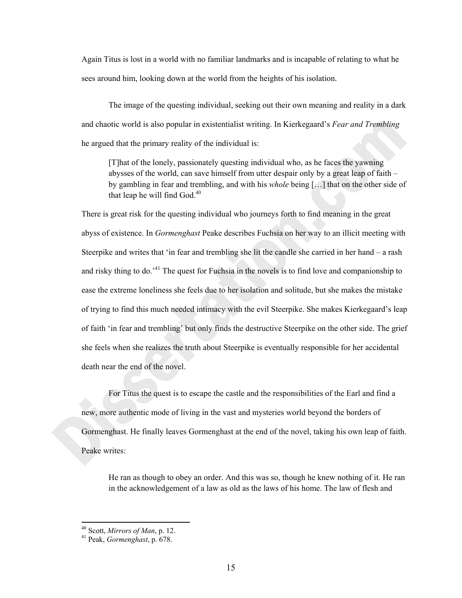Again Titus is lost in a world with no familiar landmarks and is incapable of relating to what he sees around him, looking down at the world from the heights of his isolation.

 The image of the questing individual, seeking out their own meaning and reality in a dark and chaotic world is also popular in existentialist writing. In Kierkegaard's *Fear and Trembling* he argued that the primary reality of the individual is:

[T]hat of the lonely, passionately questing individual who, as he faces the yawning abysses of the world, can save himself from utter despair only by a great leap of faith – by gambling in fear and trembling, and with his *whole* being […] that on the other side of that leap he will find  $God.<sup>40</sup>$ 

There is great risk for the questing individual who journeys forth to find meaning in the great abyss of existence. In *Gormenghast* Peake describes Fuchsia on her way to an illicit meeting with Steerpike and writes that 'in fear and trembling she lit the candle she carried in her hand – a rash and risky thing to do.<sup>41</sup> The quest for Fuchsia in the novels is to find love and companionship to ease the extreme loneliness she feels due to her isolation and solitude, but she makes the mistake of trying to find this much needed intimacy with the evil Steerpike. She makes Kierkegaard's leap of faith 'in fear and trembling' but only finds the destructive Steerpike on the other side. The grief she feels when she realizes the truth about Steerpike is eventually responsible for her accidental death near the end of the novel.

 For Titus the quest is to escape the castle and the responsibilities of the Earl and find a new, more authentic mode of living in the vast and mysteries world beyond the borders of Gormenghast. He finally leaves Gormenghast at the end of the novel, taking his own leap of faith. Peake writes:

He ran as though to obey an order. And this was so, though he knew nothing of it. He ran in the acknowledgement of a law as old as the laws of his home. The law of flesh and

<sup>40</sup> Scott, *Mirrors of Man*, p. 12. 41 Peak, *Gormenghast*, p. 678.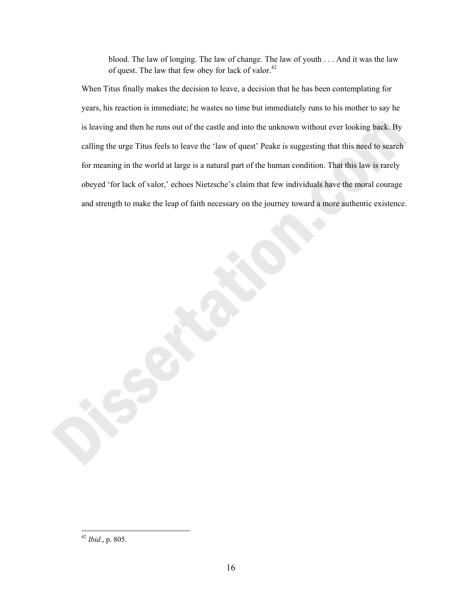blood. The law of longing. The law of change. The law of youth . . . And it was the law of quest. The law that few obey for lack of valor.<sup>42</sup>

When Titus finally makes the decision to leave, a decision that he has been contemplating for years, his reaction is immediate; he wastes no time but immediately runs to his mother to say he is leaving and then he runs out of the castle and into the unknown without ever looking back. By calling the urge Titus feels to leave the 'law of quest' Peake is suggesting that this need to search for meaning in the world at large is a natural part of the human condition. That this law is rarely obeyed 'for lack of valor,' echoes Nietzsche's claim that few individuals have the moral courage and strength to make the leap of faith necessary on the journey toward a more authentic existence.

<sup>42</sup> *Ibid*., p. 805.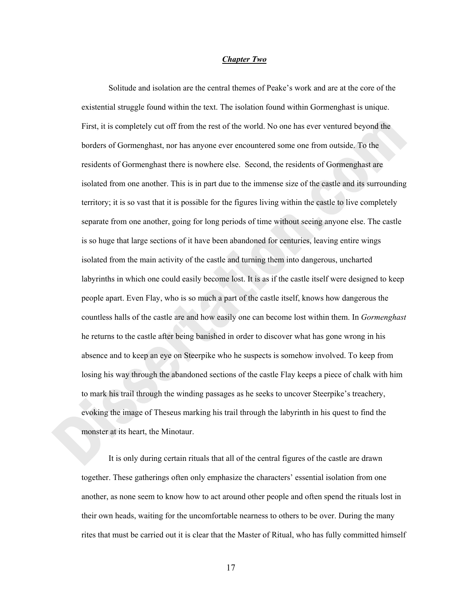#### *Chapter Two*

Solitude and isolation are the central themes of Peake's work and are at the core of the existential struggle found within the text. The isolation found within Gormenghast is unique. First, it is completely cut off from the rest of the world. No one has ever ventured beyond the borders of Gormenghast, nor has anyone ever encountered some one from outside. To the residents of Gormenghast there is nowhere else. Second, the residents of Gormenghast are isolated from one another. This is in part due to the immense size of the castle and its surrounding territory; it is so vast that it is possible for the figures living within the castle to live completely separate from one another, going for long periods of time without seeing anyone else. The castle is so huge that large sections of it have been abandoned for centuries, leaving entire wings isolated from the main activity of the castle and turning them into dangerous, uncharted labyrinths in which one could easily become lost. It is as if the castle itself were designed to keep people apart. Even Flay, who is so much a part of the castle itself, knows how dangerous the countless halls of the castle are and how easily one can become lost within them. In *Gormenghast*  he returns to the castle after being banished in order to discover what has gone wrong in his absence and to keep an eye on Steerpike who he suspects is somehow involved. To keep from losing his way through the abandoned sections of the castle Flay keeps a piece of chalk with him to mark his trail through the winding passages as he seeks to uncover Steerpike's treachery, evoking the image of Theseus marking his trail through the labyrinth in his quest to find the monster at its heart, the Minotaur.

 It is only during certain rituals that all of the central figures of the castle are drawn together. These gatherings often only emphasize the characters' essential isolation from one another, as none seem to know how to act around other people and often spend the rituals lost in their own heads, waiting for the uncomfortable nearness to others to be over. During the many rites that must be carried out it is clear that the Master of Ritual, who has fully committed himself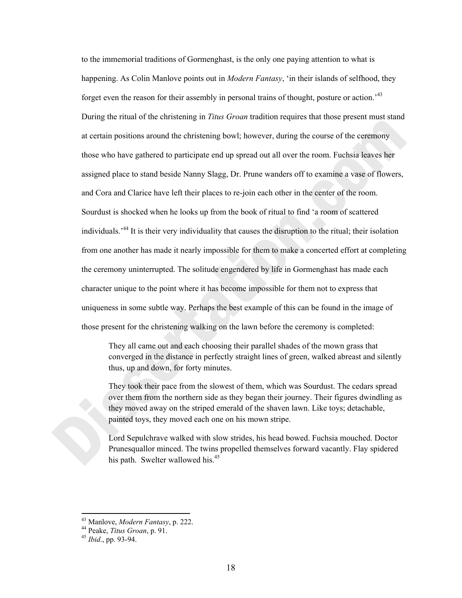to the immemorial traditions of Gormenghast, is the only one paying attention to what is happening. As Colin Manlove points out in *Modern Fantasy*, 'in their islands of selfhood, they forget even the reason for their assembly in personal trains of thought, posture or action.<sup>43</sup> During the ritual of the christening in *Titus Groan* tradition requires that those present must stand at certain positions around the christening bowl; however, during the course of the ceremony those who have gathered to participate end up spread out all over the room. Fuchsia leaves her assigned place to stand beside Nanny Slagg, Dr. Prune wanders off to examine a vase of flowers, and Cora and Clarice have left their places to re-join each other in the center of the room. Sourdust is shocked when he looks up from the book of ritual to find 'a room of scattered individuals.'44 It is their very individuality that causes the disruption to the ritual; their isolation from one another has made it nearly impossible for them to make a concerted effort at completing the ceremony uninterrupted. The solitude engendered by life in Gormenghast has made each character unique to the point where it has become impossible for them not to express that uniqueness in some subtle way. Perhaps the best example of this can be found in the image of those present for the christening walking on the lawn before the ceremony is completed:

They all came out and each choosing their parallel shades of the mown grass that converged in the distance in perfectly straight lines of green, walked abreast and silently thus, up and down, for forty minutes.

They took their pace from the slowest of them, which was Sourdust. The cedars spread over them from the northern side as they began their journey. Their figures dwindling as they moved away on the striped emerald of the shaven lawn. Like toys; detachable, painted toys, they moved each one on his mown stripe.

Lord Sepulchrave walked with slow strides, his head bowed. Fuchsia mouched. Doctor Prunesquallor minced. The twins propelled themselves forward vacantly. Flay spidered his path. Swelter wallowed his.<sup>45</sup>

 43 Manlove, *Modern Fantasy*, p. 222. 44 Peake, *Titus Groan*, p. 91. 45 *Ibid*., pp. 93-94.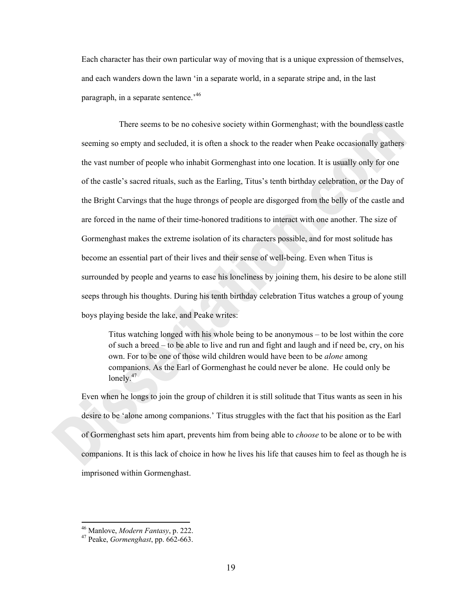Each character has their own particular way of moving that is a unique expression of themselves, and each wanders down the lawn 'in a separate world, in a separate stripe and, in the last paragraph, in a separate sentence.<sup>46</sup>

 There seems to be no cohesive society within Gormenghast; with the boundless castle seeming so empty and secluded, it is often a shock to the reader when Peake occasionally gathers the vast number of people who inhabit Gormenghast into one location. It is usually only for one of the castle's sacred rituals, such as the Earling, Titus's tenth birthday celebration, or the Day of the Bright Carvings that the huge throngs of people are disgorged from the belly of the castle and are forced in the name of their time-honored traditions to interact with one another. The size of Gormenghast makes the extreme isolation of its characters possible, and for most solitude has become an essential part of their lives and their sense of well-being. Even when Titus is surrounded by people and yearns to ease his loneliness by joining them, his desire to be alone still seeps through his thoughts. During his tenth birthday celebration Titus watches a group of young boys playing beside the lake, and Peake writes:

Titus watching longed with his whole being to be anonymous – to be lost within the core of such a breed – to be able to live and run and fight and laugh and if need be, cry, on his own. For to be one of those wild children would have been to be *alone* among companions. As the Earl of Gormenghast he could never be alone. He could only be lonely.<sup>47</sup>

Even when he longs to join the group of children it is still solitude that Titus wants as seen in his desire to be 'alone among companions.' Titus struggles with the fact that his position as the Earl of Gormenghast sets him apart, prevents him from being able to *choose* to be alone or to be with companions. It is this lack of choice in how he lives his life that causes him to feel as though he is imprisoned within Gormenghast.

 46 Manlove, *Modern Fantasy*, p. 222. 47 Peake, *Gormenghast*, pp. 662-663.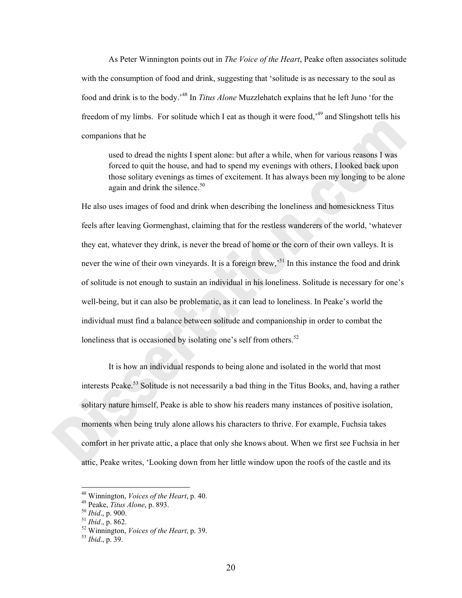As Peter Winnington points out in *The Voice of the Heart*, Peake often associates solitude with the consumption of food and drink, suggesting that 'solitude is as necessary to the soul as food and drink is to the body.'48 In *Titus Alone* Muzzlehatch explains that he left Juno 'for the freedom of my limbs. For solitude which I eat as though it were food,<sup>49</sup> and Slingshott tells his companions that he

used to dread the nights I spent alone: but after a while, when for various reasons I was forced to quit the house, and had to spend my evenings with others, I looked back upon those solitary evenings as times of excitement. It has always been my longing to be alone again and drink the silence. $50$ 

He also uses images of food and drink when describing the loneliness and homesickness Titus feels after leaving Gormenghast, claiming that for the restless wanderers of the world, 'whatever they eat, whatever they drink, is never the bread of home or the corn of their own valleys. It is never the wine of their own vineyards. It is a foreign brew,<sup>51</sup> In this instance the food and drink of solitude is not enough to sustain an individual in his loneliness. Solitude is necessary for one's well-being, but it can also be problematic, as it can lead to loneliness. In Peake's world the individual must find a balance between solitude and companionship in order to combat the loneliness that is occasioned by isolating one's self from others.<sup>52</sup>

It is how an individual responds to being alone and isolated in the world that most interests Peake.<sup>53</sup> Solitude is not necessarily a bad thing in the Titus Books, and, having a rather solitary nature himself, Peake is able to show his readers many instances of positive isolation, moments when being truly alone allows his characters to thrive. For example, Fuchsia takes comfort in her private attic, a place that only she knows about. When we first see Fuchsia in her attic, Peake writes, 'Looking down from her little window upon the roofs of the castle and its

<sup>&</sup>lt;sup>48</sup> Winnington, *Voices of the Heart*, p. 40.

<sup>49</sup> Peake, *Titus Alone*, p. 893.<br><sup>50</sup> *Ibid.*, p. 900.<br><sup>51</sup> *Ibid.*, p. 862.<br><sup>52</sup> Winnington, *Voices of the Heart*, p. 39.<br><sup>53</sup> *Ibid.*, p. 39.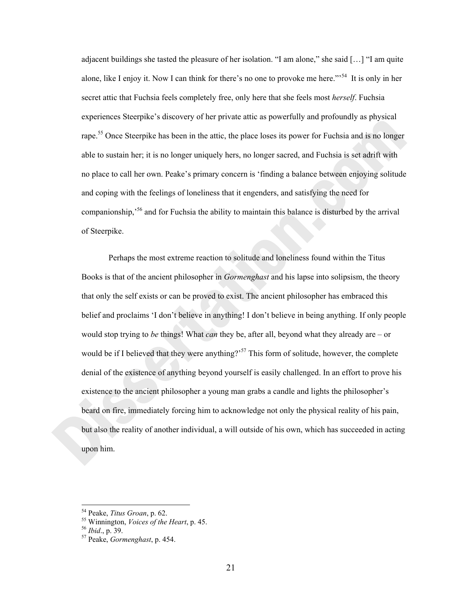adjacent buildings she tasted the pleasure of her isolation. "I am alone," she said […] "I am quite alone, like I enjoy it. Now I can think for there's no one to provoke me here."<sup>54</sup> It is only in her secret attic that Fuchsia feels completely free, only here that she feels most *herself*. Fuchsia experiences Steerpike's discovery of her private attic as powerfully and profoundly as physical rape.<sup>55</sup> Once Steerpike has been in the attic, the place loses its power for Fuchsia and is no longer able to sustain her; it is no longer uniquely hers, no longer sacred, and Fuchsia is set adrift with no place to call her own. Peake's primary concern is 'finding a balance between enjoying solitude and coping with the feelings of loneliness that it engenders, and satisfying the need for companionship,'56 and for Fuchsia the ability to maintain this balance is disturbed by the arrival of Steerpike.

 Perhaps the most extreme reaction to solitude and loneliness found within the Titus Books is that of the ancient philosopher in *Gormenghast* and his lapse into solipsism, the theory that only the self exists or can be proved to exist. The ancient philosopher has embraced this belief and proclaims 'I don't believe in anything! I don't believe in being anything. If only people would stop trying to *be* things! What *can* they be, after all, beyond what they already are – or would be if I believed that they were anything?<sup>57</sup> This form of solitude, however, the complete denial of the existence of anything beyond yourself is easily challenged. In an effort to prove his existence to the ancient philosopher a young man grabs a candle and lights the philosopher's beard on fire, immediately forcing him to acknowledge not only the physical reality of his pain, but also the reality of another individual, a will outside of his own, which has succeeded in acting upon him.

<sup>54</sup> Peake, *Titus Groan*, p. 62. 55 Winnington, *Voices of the Heart*, p. 45. 56 *Ibid*., p. 39. 57 Peake, *Gormenghast*, p. 454.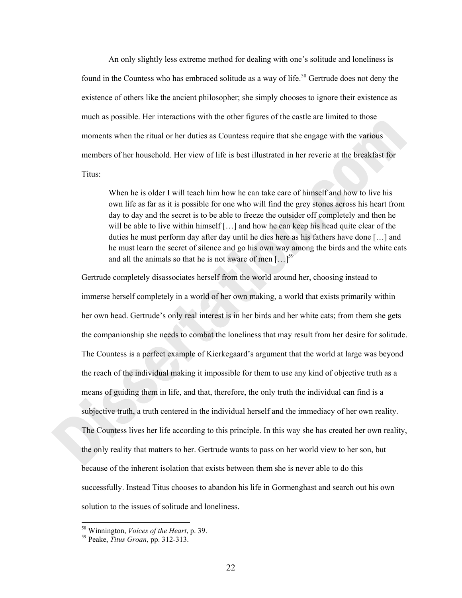An only slightly less extreme method for dealing with one's solitude and loneliness is found in the Countess who has embraced solitude as a way of life.<sup>58</sup> Gertrude does not deny the existence of others like the ancient philosopher; she simply chooses to ignore their existence as much as possible. Her interactions with the other figures of the castle are limited to those moments when the ritual or her duties as Countess require that she engage with the various members of her household. Her view of life is best illustrated in her reverie at the breakfast for Titus:

When he is older I will teach him how he can take care of himself and how to live his own life as far as it is possible for one who will find the grey stones across his heart from day to day and the secret is to be able to freeze the outsider off completely and then he will be able to live within himself  $[\dots]$  and how he can keep his head quite clear of the duties he must perform day after day until he dies here as his fathers have done […] and he must learn the secret of silence and go his own way among the birds and the white cats and all the animals so that he is not aware of men  $\lceil ... \rceil^{59}$ 

Gertrude completely disassociates herself from the world around her, choosing instead to immerse herself completely in a world of her own making, a world that exists primarily within her own head. Gertrude's only real interest is in her birds and her white cats; from them she gets the companionship she needs to combat the loneliness that may result from her desire for solitude. The Countess is a perfect example of Kierkegaard's argument that the world at large was beyond the reach of the individual making it impossible for them to use any kind of objective truth as a means of guiding them in life, and that, therefore, the only truth the individual can find is a subjective truth, a truth centered in the individual herself and the immediacy of her own reality. The Countess lives her life according to this principle. In this way she has created her own reality, the only reality that matters to her. Gertrude wants to pass on her world view to her son, but because of the inherent isolation that exists between them she is never able to do this successfully. Instead Titus chooses to abandon his life in Gormenghast and search out his own solution to the issues of solitude and loneliness.

<sup>58</sup> Winnington, *Voices of the Heart*, p. 39. 59 Peake, *Titus Groan*, pp. 312-313.